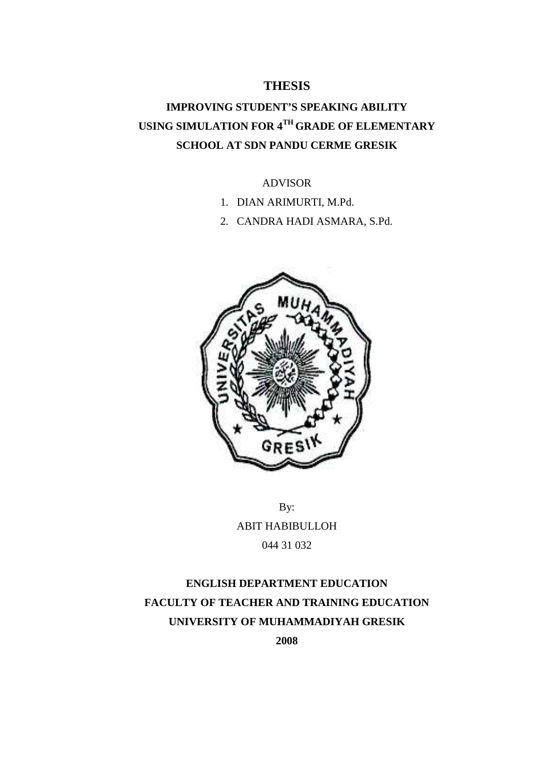### **THESIS**

# **IMPROVING STUDENT'S SPEAKING ABILITY USING SIMULATION FOR 4TH GRADE OF ELEMENTARY SCHOOL AT SDN PANDU CERME GRESIK**

#### ADVISOR

- 1. DIAN ARIMURTI, M.Pd.
- 2. CANDRA HADI ASMARA, S.Pd.



By: ABIT HABIBULLOH 044 31 032

# **ENGLISH DEPARTMENT EDUCATION FACULTY OF TEACHER AND TRAINING EDUCATION UNIVERSITY OF MUHAMMADIYAH GRESIK**

**2008**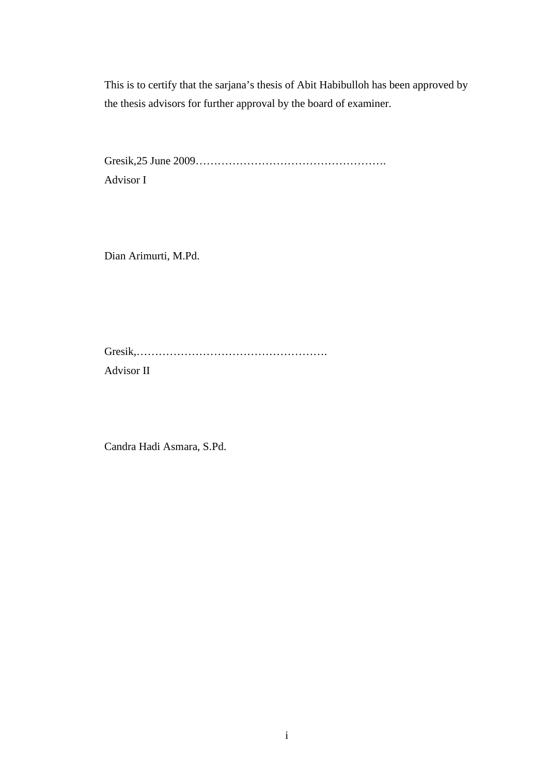This is to certify that the sarjana's thesis of Abit Habibulloh has been approved by the thesis advisors for further approval by the board of examiner.

Gresik,25 June 2009……………………………………………. Advisor I

Dian Arimurti, M.Pd.

Gresik,……………………………………………. Advisor II

Candra Hadi Asmara, S.Pd.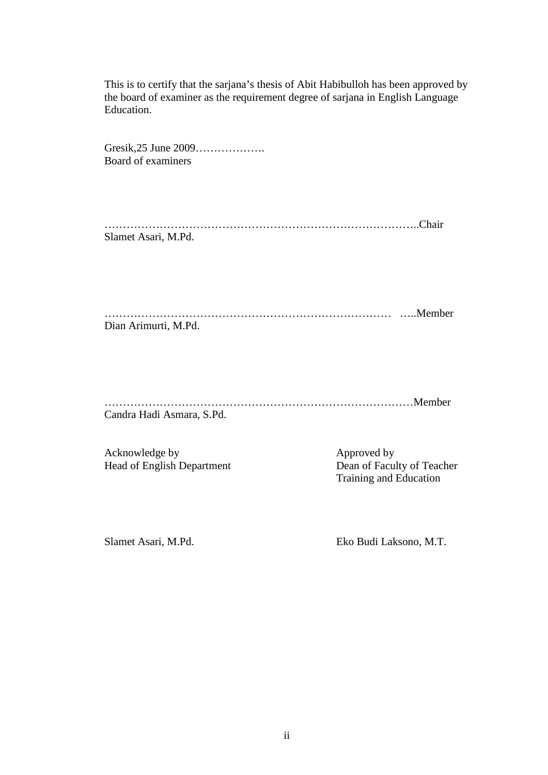This is to certify that the sarjana's thesis of Abit Habibulloh has been approved by the board of examiner as the requirement degree of sarjana in English Language Education.

Gresik,25 June 2009………………. Board of examiners

…………………………………………………………………………..Chair Slamet Asari, M.Pd.

…………………………………………………………………… …..Member Dian Arimurti, M.Pd.

…………………………………………………………………………Member Candra Hadi Asmara, S.Pd.

Acknowledge by Approved by Approved by

Head of English Department Dean of Faculty of Teacher Training and Education

Slamet Asari, M.Pd. Eko Budi Laksono, M.T.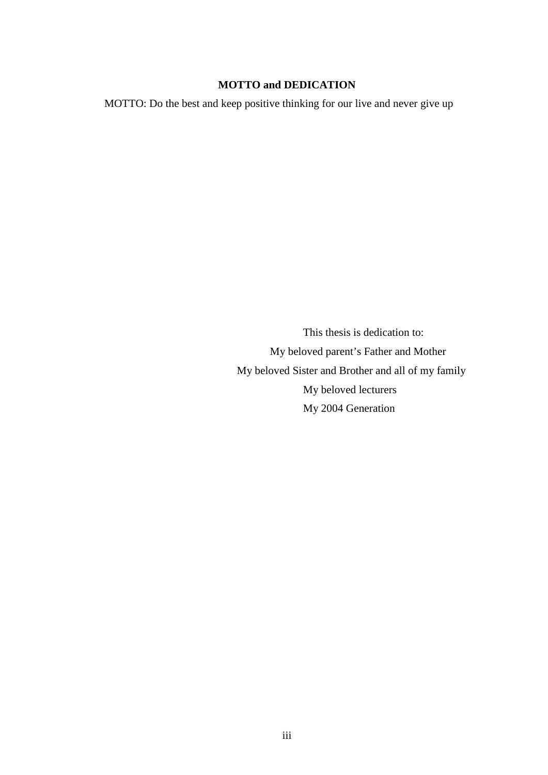#### **MOTTO and DEDICATION**

MOTTO: Do the best and keep positive thinking for our live and never give up

This thesis is dedication to: My beloved parent's Father and Mother My beloved Sister and Brother and all of my family My beloved lecturers My 2004 Generation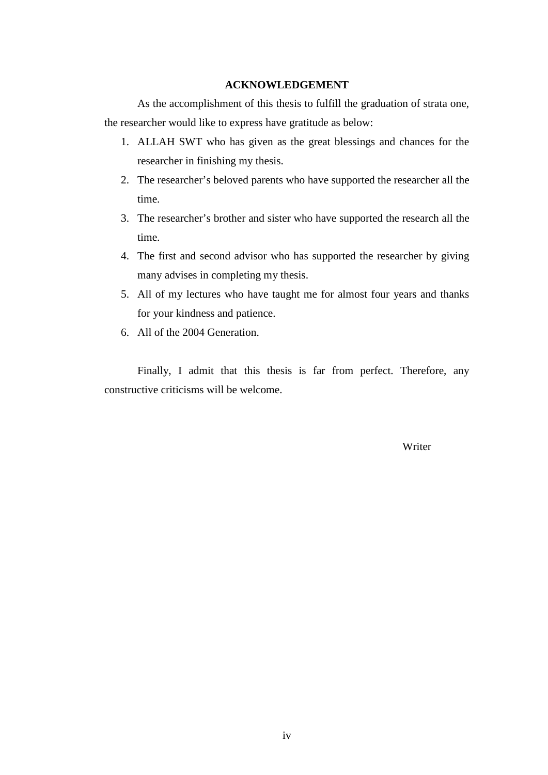#### **ACKNOWLEDGEMENT**

As the accomplishment of this thesis to fulfill the graduation of strata one, the researcher would like to express have gratitude as below:

- 1. ALLAH SWT who has given as the great blessings and chances for the researcher in finishing my thesis.
- 2. The researcher's beloved parents who have supported the researcher all the time.
- 3. The researcher's brother and sister who have supported the research all the time.
- 4. The first and second advisor who has supported the researcher by giving many advises in completing my thesis.
- 5. All of my lectures who have taught me for almost four years and thanks for your kindness and patience.
- 6. All of the 2004 Generation.

Finally, I admit that this thesis is far from perfect. Therefore, any constructive criticisms will be welcome.

Writer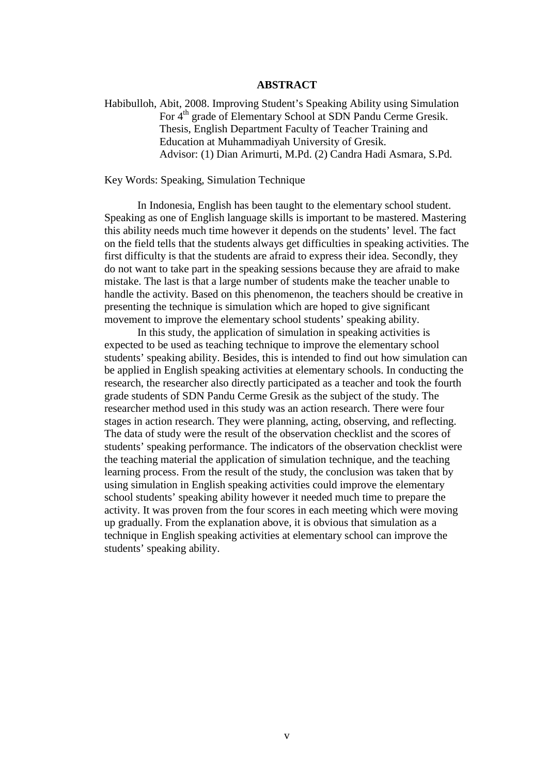#### **ABSTRACT**

Habibulloh, Abit, 2008. Improving Student's Speaking Ability using Simulation For 4<sup>th</sup> grade of Elementary School at SDN Pandu Cerme Gresik. Thesis, English Department Faculty of Teacher Training and Education at Muhammadiyah University of Gresik. Advisor: (1) Dian Arimurti, M.Pd. (2) Candra Hadi Asmara, S.Pd.

Key Words: Speaking, Simulation Technique

In Indonesia, English has been taught to the elementary school student. Speaking as one of English language skills is important to be mastered. Mastering this ability needs much time however it depends on the students' level. The fact on the field tells that the students always get difficulties in speaking activities. The first difficulty is that the students are afraid to express their idea. Secondly, they do not want to take part in the speaking sessions because they are afraid to make mistake. The last is that a large number of students make the teacher unable to handle the activity. Based on this phenomenon, the teachers should be creative in presenting the technique is simulation which are hoped to give significant movement to improve the elementary school students' speaking ability.

In this study, the application of simulation in speaking activities is expected to be used as teaching technique to improve the elementary school students' speaking ability. Besides, this is intended to find out how simulation can be applied in English speaking activities at elementary schools. In conducting the research, the researcher also directly participated as a teacher and took the fourth grade students of SDN Pandu Cerme Gresik as the subject of the study. The researcher method used in this study was an action research. There were four stages in action research. They were planning, acting, observing, and reflecting. The data of study were the result of the observation checklist and the scores of students' speaking performance. The indicators of the observation checklist were the teaching material the application of simulation technique, and the teaching learning process. From the result of the study, the conclusion was taken that by using simulation in English speaking activities could improve the elementary school students' speaking ability however it needed much time to prepare the activity. It was proven from the four scores in each meeting which were moving up gradually. From the explanation above, it is obvious that simulation as a technique in English speaking activities at elementary school can improve the students' speaking ability.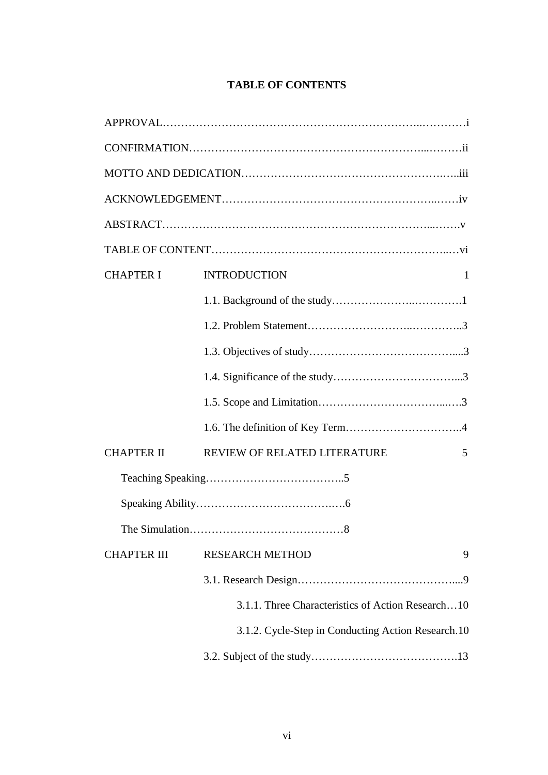## **TABLE OF CONTENTS**

| <b>CHAPTER I</b>   | <b>INTRODUCTION</b><br>1                           |  |  |
|--------------------|----------------------------------------------------|--|--|
|                    |                                                    |  |  |
|                    |                                                    |  |  |
|                    |                                                    |  |  |
|                    |                                                    |  |  |
|                    |                                                    |  |  |
|                    |                                                    |  |  |
| <b>CHAPTER II</b>  | REVIEW OF RELATED LITERATURE<br>5                  |  |  |
|                    |                                                    |  |  |
|                    |                                                    |  |  |
|                    |                                                    |  |  |
| <b>CHAPTER III</b> | <b>RESEARCH METHOD</b><br>9                        |  |  |
|                    |                                                    |  |  |
|                    | 3.1.1. Three Characteristics of Action Research10  |  |  |
|                    | 3.1.2. Cycle-Step in Conducting Action Research.10 |  |  |
|                    |                                                    |  |  |